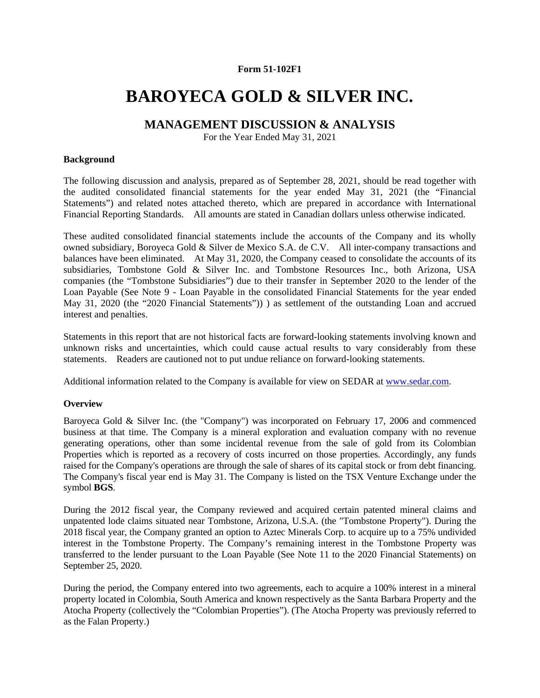## **Form 51-102F1**

# **BAROYECA GOLD & SILVER INC.**

## **MANAGEMENT DISCUSSION & ANALYSIS**

For the Year Ended May 31, 2021

## **Background**

The following discussion and analysis, prepared as of September 28, 2021, should be read together with the audited consolidated financial statements for the year ended May 31, 2021 (the "Financial Statements") and related notes attached thereto, which are prepared in accordance with International Financial Reporting Standards. All amounts are stated in Canadian dollars unless otherwise indicated.

These audited consolidated financial statements include the accounts of the Company and its wholly owned subsidiary, Boroyeca Gold & Silver de Mexico S.A. de C.V. All inter-company transactions and balances have been eliminated. At May 31, 2020, the Company ceased to consolidate the accounts of its subsidiaries, Tombstone Gold & Silver Inc. and Tombstone Resources Inc., both Arizona, USA companies (the "Tombstone Subsidiaries") due to their transfer in September 2020 to the lender of the Loan Payable (See Note 9 - Loan Payable in the consolidated Financial Statements for the year ended May 31, 2020 (the "2020 Financial Statements")) ) as settlement of the outstanding Loan and accrued interest and penalties.

Statements in this report that are not historical facts are forward-looking statements involving known and unknown risks and uncertainties, which could cause actual results to vary considerably from these statements. Readers are cautioned not to put undue reliance on forward-looking statements.

Additional information related to the Company is available for view on SEDAR at www.sedar.com.

## **Overview**

Baroyeca Gold & Silver Inc. (the "Company") was incorporated on February 17, 2006 and commenced business at that time. The Company is a mineral exploration and evaluation company with no revenue generating operations, other than some incidental revenue from the sale of gold from its Colombian Properties which is reported as a recovery of costs incurred on those properties. Accordingly, any funds raised for the Company's operations are through the sale of shares of its capital stock or from debt financing. The Company's fiscal year end is May 31. The Company is listed on the TSX Venture Exchange under the symbol **BGS**.

During the 2012 fiscal year, the Company reviewed and acquired certain patented mineral claims and unpatented lode claims situated near Tombstone, Arizona, U.S.A. (the "Tombstone Property"). During the 2018 fiscal year, the Company granted an option to Aztec Minerals Corp. to acquire up to a 75% undivided interest in the Tombstone Property. The Company's remaining interest in the Tombstone Property was transferred to the lender pursuant to the Loan Payable (See Note 11 to the 2020 Financial Statements) on September 25, 2020.

During the period, the Company entered into two agreements, each to acquire a 100% interest in a mineral property located in Colombia, South America and known respectively as the Santa Barbara Property and the Atocha Property (collectively the "Colombian Properties"). (The Atocha Property was previously referred to as the Falan Property.)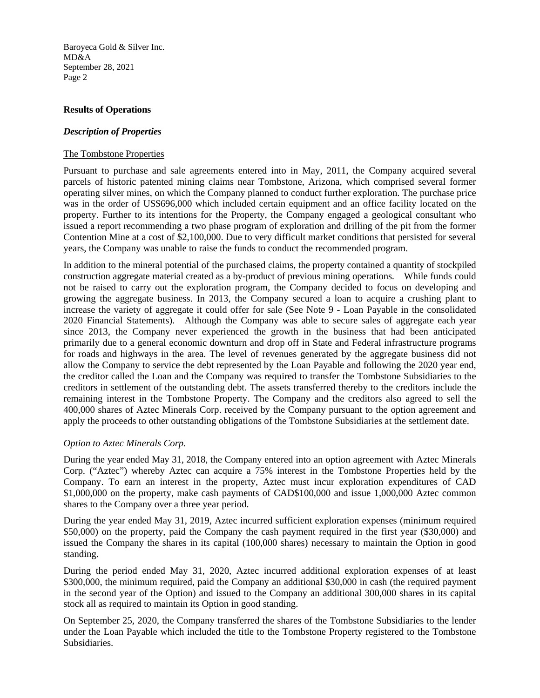## **Results of Operations**

## *Description of Properties*

#### The Tombstone Properties

Pursuant to purchase and sale agreements entered into in May, 2011, the Company acquired several parcels of historic patented mining claims near Tombstone, Arizona, which comprised several former operating silver mines, on which the Company planned to conduct further exploration. The purchase price was in the order of US\$696,000 which included certain equipment and an office facility located on the property. Further to its intentions for the Property, the Company engaged a geological consultant who issued a report recommending a two phase program of exploration and drilling of the pit from the former Contention Mine at a cost of \$2,100,000. Due to very difficult market conditions that persisted for several years, the Company was unable to raise the funds to conduct the recommended program.

In addition to the mineral potential of the purchased claims, the property contained a quantity of stockpiled construction aggregate material created as a by-product of previous mining operations. While funds could not be raised to carry out the exploration program, the Company decided to focus on developing and growing the aggregate business. In 2013, the Company secured a loan to acquire a crushing plant to increase the variety of aggregate it could offer for sale (See Note 9 - Loan Payable in the consolidated 2020 Financial Statements). Although the Company was able to secure sales of aggregate each year since 2013, the Company never experienced the growth in the business that had been anticipated primarily due to a general economic downturn and drop off in State and Federal infrastructure programs for roads and highways in the area. The level of revenues generated by the aggregate business did not allow the Company to service the debt represented by the Loan Payable and following the 2020 year end, the creditor called the Loan and the Company was required to transfer the Tombstone Subsidiaries to the creditors in settlement of the outstanding debt. The assets transferred thereby to the creditors include the remaining interest in the Tombstone Property. The Company and the creditors also agreed to sell the 400,000 shares of Aztec Minerals Corp. received by the Company pursuant to the option agreement and apply the proceeds to other outstanding obligations of the Tombstone Subsidiaries at the settlement date.

## *Option to Aztec Minerals Corp.*

During the year ended May 31, 2018, the Company entered into an option agreement with Aztec Minerals Corp. ("Aztec") whereby Aztec can acquire a 75% interest in the Tombstone Properties held by the Company. To earn an interest in the property, Aztec must incur exploration expenditures of CAD \$1,000,000 on the property, make cash payments of CAD\$100,000 and issue 1,000,000 Aztec common shares to the Company over a three year period.

During the year ended May 31, 2019, Aztec incurred sufficient exploration expenses (minimum required \$50,000) on the property, paid the Company the cash payment required in the first year (\$30,000) and issued the Company the shares in its capital (100,000 shares) necessary to maintain the Option in good standing.

During the period ended May 31, 2020, Aztec incurred additional exploration expenses of at least \$300,000, the minimum required, paid the Company an additional \$30,000 in cash (the required payment in the second year of the Option) and issued to the Company an additional 300,000 shares in its capital stock all as required to maintain its Option in good standing.

On September 25, 2020, the Company transferred the shares of the Tombstone Subsidiaries to the lender under the Loan Payable which included the title to the Tombstone Property registered to the Tombstone Subsidiaries.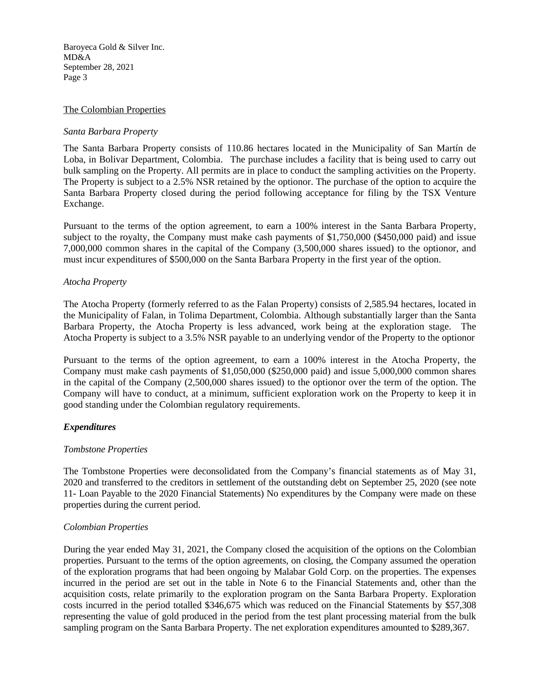## The Colombian Properties

## *Santa Barbara Property*

The Santa Barbara Property consists of 110.86 hectares located in the Municipality of San Martín de Loba, in Bolivar Department, Colombia. The purchase includes a facility that is being used to carry out bulk sampling on the Property. All permits are in place to conduct the sampling activities on the Property. The Property is subject to a 2.5% NSR retained by the optionor. The purchase of the option to acquire the Santa Barbara Property closed during the period following acceptance for filing by the TSX Venture Exchange.

Pursuant to the terms of the option agreement, to earn a 100% interest in the Santa Barbara Property, subject to the royalty, the Company must make cash payments of \$1,750,000 (\$450,000 paid) and issue 7,000,000 common shares in the capital of the Company (3,500,000 shares issued) to the optionor, and must incur expenditures of \$500,000 on the Santa Barbara Property in the first year of the option.

## *Atocha Property*

The Atocha Property (formerly referred to as the Falan Property) consists of 2,585.94 hectares, located in the Municipality of Falan, in Tolima Department, Colombia. Although substantially larger than the Santa Barbara Property, the Atocha Property is less advanced, work being at the exploration stage. The Atocha Property is subject to a 3.5% NSR payable to an underlying vendor of the Property to the optionor

Pursuant to the terms of the option agreement, to earn a 100% interest in the Atocha Property, the Company must make cash payments of \$1,050,000 (\$250,000 paid) and issue 5,000,000 common shares in the capital of the Company (2,500,000 shares issued) to the optionor over the term of the option. The Company will have to conduct, at a minimum, sufficient exploration work on the Property to keep it in good standing under the Colombian regulatory requirements.

## *Expenditures*

#### *Tombstone Properties*

The Tombstone Properties were deconsolidated from the Company's financial statements as of May 31, 2020 and transferred to the creditors in settlement of the outstanding debt on September 25, 2020 (see note 11- Loan Payable to the 2020 Financial Statements) No expenditures by the Company were made on these properties during the current period.

#### *Colombian Properties*

During the year ended May 31, 2021, the Company closed the acquisition of the options on the Colombian properties. Pursuant to the terms of the option agreements, on closing, the Company assumed the operation of the exploration programs that had been ongoing by Malabar Gold Corp. on the properties. The expenses incurred in the period are set out in the table in Note 6 to the Financial Statements and, other than the acquisition costs, relate primarily to the exploration program on the Santa Barbara Property. Exploration costs incurred in the period totalled \$346,675 which was reduced on the Financial Statements by \$57,308 representing the value of gold produced in the period from the test plant processing material from the bulk sampling program on the Santa Barbara Property. The net exploration expenditures amounted to \$289,367.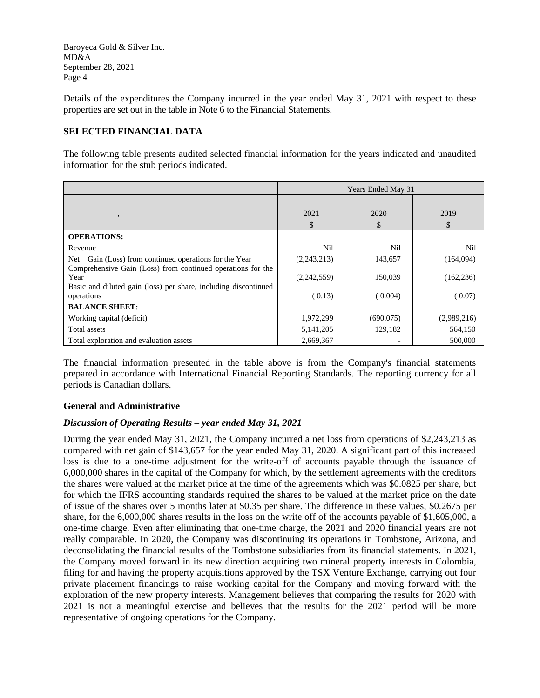Details of the expenditures the Company incurred in the year ended May 31, 2021 with respect to these properties are set out in the table in Note 6 to the Financial Statements.

## **SELECTED FINANCIAL DATA**

The following table presents audited selected financial information for the years indicated and unaudited information for the stub periods indicated.

|                                                                                                                                        | Years Ended May 31 |            |             |
|----------------------------------------------------------------------------------------------------------------------------------------|--------------------|------------|-------------|
| $\cdot$                                                                                                                                | 2021<br>\$         | 2020<br>\$ | 2019<br>\$  |
| <b>OPERATIONS:</b>                                                                                                                     |                    |            |             |
| Revenue                                                                                                                                | Nil                | Nil        | Nil         |
| Gain (Loss) from continued operations for the Year<br>Net                                                                              | (2,243,213)        | 143,657    | (164,094)   |
| Comprehensive Gain (Loss) from continued operations for the<br>Year<br>Basic and diluted gain (loss) per share, including discontinued | (2,242,559)        | 150,039    | (162, 236)  |
| operations                                                                                                                             | (0.13)             | (0.004)    | (0.07)      |
| <b>BALANCE SHEET:</b>                                                                                                                  |                    |            |             |
| Working capital (deficit)                                                                                                              | 1,972,299          | (690,075)  | (2,989,216) |
| Total assets                                                                                                                           | 5, 141, 205        | 129,182    | 564,150     |
| Total exploration and evaluation assets                                                                                                | 2,669,367          |            | 500,000     |

The financial information presented in the table above is from the Company's financial statements prepared in accordance with International Financial Reporting Standards. The reporting currency for all periods is Canadian dollars.

#### **General and Administrative**

## *Discussion of Operating Results – year ended May 31, 2021*

During the year ended May 31, 2021, the Company incurred a net loss from operations of \$2,243,213 as compared with net gain of \$143,657 for the year ended May 31, 2020. A significant part of this increased loss is due to a one-time adjustment for the write-off of accounts payable through the issuance of 6,000,000 shares in the capital of the Company for which, by the settlement agreements with the creditors the shares were valued at the market price at the time of the agreements which was \$0.0825 per share, but for which the IFRS accounting standards required the shares to be valued at the market price on the date of issue of the shares over 5 months later at \$0.35 per share. The difference in these values, \$0.2675 per share, for the 6,000,000 shares results in the loss on the write off of the accounts payable of \$1,605,000, a one-time charge. Even after eliminating that one-time charge, the 2021 and 2020 financial years are not really comparable. In 2020, the Company was discontinuing its operations in Tombstone, Arizona, and deconsolidating the financial results of the Tombstone subsidiaries from its financial statements. In 2021, the Company moved forward in its new direction acquiring two mineral property interests in Colombia, filing for and having the property acquisitions approved by the TSX Venture Exchange, carrying out four private placement financings to raise working capital for the Company and moving forward with the exploration of the new property interests. Management believes that comparing the results for 2020 with 2021 is not a meaningful exercise and believes that the results for the 2021 period will be more representative of ongoing operations for the Company.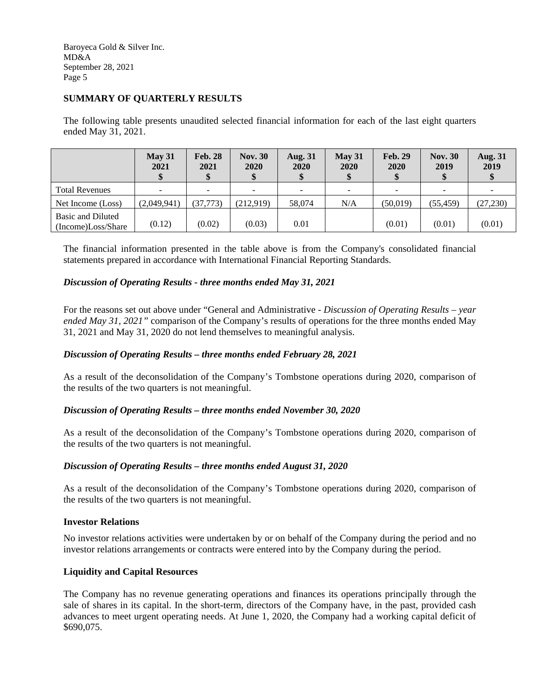## **SUMMARY OF QUARTERLY RESULTS**

The following table presents unaudited selected financial information for each of the last eight quarters ended May 31, 2021.

|                                         | May 31<br>2021 | <b>Feb. 28</b><br>2021 | <b>Nov. 30</b><br>2020 | <b>Aug. 31</b><br>2020<br>\$ | May 31<br>2020 | <b>Feb. 29</b><br>2020 | <b>Nov. 30</b><br>2019 | <b>Aug. 31</b><br>2019 |
|-----------------------------------------|----------------|------------------------|------------------------|------------------------------|----------------|------------------------|------------------------|------------------------|
| <b>Total Revenues</b>                   |                | $\equiv$               | $\sim$                 | $\overline{\phantom{a}}$     |                |                        | $\sim$                 |                        |
| Net Income (Loss)                       | (2,049,941)    | (37, 773)              | (212,919)              | 58,074                       | N/A            | (50,019)               | (55, 459)              | (27, 230)              |
| Basic and Diluted<br>(Income)Loss/Share | (0.12)         | (0.02)                 | (0.03)                 | 0.01                         |                | (0.01)                 | (0.01)                 | (0.01)                 |

The financial information presented in the table above is from the Company's consolidated financial statements prepared in accordance with International Financial Reporting Standards.

## *Discussion of Operating Results - three months ended May 31, 2021*

For the reasons set out above under "General and Administrative - *Discussion of Operating Results – year ended May 31, 2021"* comparison of the Company's results of operations for the three months ended May 31, 2021 and May 31, 2020 do not lend themselves to meaningful analysis.

## *Discussion of Operating Results – three months ended February 28, 2021*

As a result of the deconsolidation of the Company's Tombstone operations during 2020, comparison of the results of the two quarters is not meaningful.

#### *Discussion of Operating Results – three months ended November 30, 2020*

As a result of the deconsolidation of the Company's Tombstone operations during 2020, comparison of the results of the two quarters is not meaningful.

#### *Discussion of Operating Results – three months ended August 31, 2020*

As a result of the deconsolidation of the Company's Tombstone operations during 2020, comparison of the results of the two quarters is not meaningful.

#### **Investor Relations**

No investor relations activities were undertaken by or on behalf of the Company during the period and no investor relations arrangements or contracts were entered into by the Company during the period.

#### **Liquidity and Capital Resources**

The Company has no revenue generating operations and finances its operations principally through the sale of shares in its capital. In the short-term, directors of the Company have, in the past, provided cash advances to meet urgent operating needs. At June 1, 2020, the Company had a working capital deficit of \$690,075.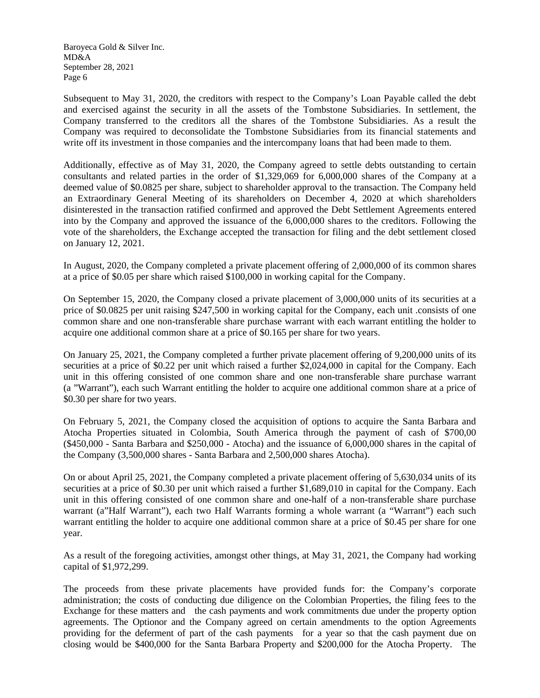Subsequent to May 31, 2020, the creditors with respect to the Company's Loan Payable called the debt and exercised against the security in all the assets of the Tombstone Subsidiaries. In settlement, the Company transferred to the creditors all the shares of the Tombstone Subsidiaries. As a result the Company was required to deconsolidate the Tombstone Subsidiaries from its financial statements and write off its investment in those companies and the intercompany loans that had been made to them.

Additionally, effective as of May 31, 2020, the Company agreed to settle debts outstanding to certain consultants and related parties in the order of \$1,329,069 for 6,000,000 shares of the Company at a deemed value of \$0.0825 per share, subject to shareholder approval to the transaction. The Company held an Extraordinary General Meeting of its shareholders on December 4, 2020 at which shareholders disinterested in the transaction ratified confirmed and approved the Debt Settlement Agreements entered into by the Company and approved the issuance of the 6,000,000 shares to the creditors. Following the vote of the shareholders, the Exchange accepted the transaction for filing and the debt settlement closed on January 12, 2021.

In August, 2020, the Company completed a private placement offering of 2,000,000 of its common shares at a price of \$0.05 per share which raised \$100,000 in working capital for the Company.

On September 15, 2020, the Company closed a private placement of 3,000,000 units of its securities at a price of \$0.0825 per unit raising \$247,500 in working capital for the Company, each unit .consists of one common share and one non-transferable share purchase warrant with each warrant entitling the holder to acquire one additional common share at a price of \$0.165 per share for two years.

On January 25, 2021, the Company completed a further private placement offering of 9,200,000 units of its securities at a price of \$0.22 per unit which raised a further \$2,024,000 in capital for the Company. Each unit in this offering consisted of one common share and one non-transferable share purchase warrant (a "Warrant"), each such Warrant entitling the holder to acquire one additional common share at a price of \$0.30 per share for two years.

On February 5, 2021, the Company closed the acquisition of options to acquire the Santa Barbara and Atocha Properties situated in Colombia, South America through the payment of cash of \$700,00 (\$450,000 - Santa Barbara and \$250,000 - Atocha) and the issuance of 6,000,000 shares in the capital of the Company (3,500,000 shares - Santa Barbara and 2,500,000 shares Atocha).

On or about April 25, 2021, the Company completed a private placement offering of 5,630,034 units of its securities at a price of \$0.30 per unit which raised a further \$1,689,010 in capital for the Company. Each unit in this offering consisted of one common share and one-half of a non-transferable share purchase warrant (a"Half Warrant"), each two Half Warrants forming a whole warrant (a "Warrant") each such warrant entitling the holder to acquire one additional common share at a price of \$0.45 per share for one year.

As a result of the foregoing activities, amongst other things, at May 31, 2021, the Company had working capital of \$1,972,299.

The proceeds from these private placements have provided funds for: the Company's corporate administration; the costs of conducting due diligence on the Colombian Properties, the filing fees to the Exchange for these matters and the cash payments and work commitments due under the property option agreements. The Optionor and the Company agreed on certain amendments to the option Agreements providing for the deferment of part of the cash payments for a year so that the cash payment due on closing would be \$400,000 for the Santa Barbara Property and \$200,000 for the Atocha Property. The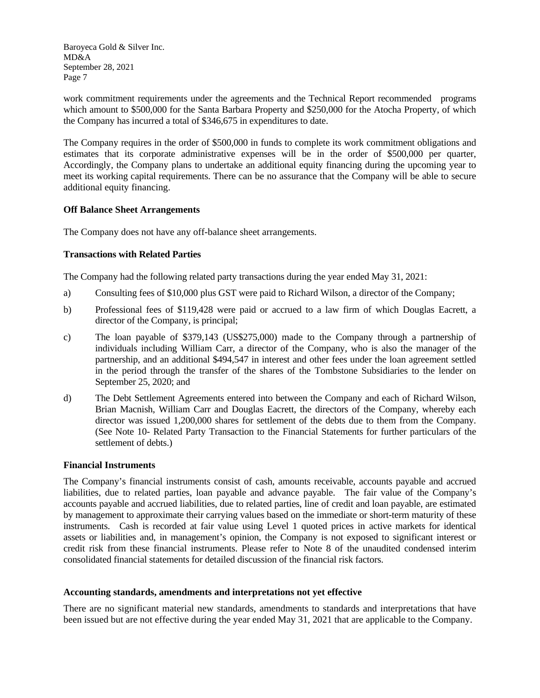work commitment requirements under the agreements and the Technical Report recommended programs which amount to \$500,000 for the Santa Barbara Property and \$250,000 for the Atocha Property, of which the Company has incurred a total of \$346,675 in expenditures to date.

The Company requires in the order of \$500,000 in funds to complete its work commitment obligations and estimates that its corporate administrative expenses will be in the order of \$500,000 per quarter, Accordingly, the Company plans to undertake an additional equity financing during the upcoming year to meet its working capital requirements. There can be no assurance that the Company will be able to secure additional equity financing.

## **Off Balance Sheet Arrangements**

The Company does not have any off-balance sheet arrangements.

## **Transactions with Related Parties**

The Company had the following related party transactions during the year ended May 31, 2021:

- a) Consulting fees of \$10,000 plus GST were paid to Richard Wilson, a director of the Company;
- b) Professional fees of \$119,428 were paid or accrued to a law firm of which Douglas Eacrett, a director of the Company, is principal;
- c) The loan payable of \$379,143 (US\$275,000) made to the Company through a partnership of individuals including William Carr, a director of the Company, who is also the manager of the partnership, and an additional \$494,547 in interest and other fees under the loan agreement settled in the period through the transfer of the shares of the Tombstone Subsidiaries to the lender on September 25, 2020; and
- d) The Debt Settlement Agreements entered into between the Company and each of Richard Wilson, Brian Macnish, William Carr and Douglas Eacrett, the directors of the Company, whereby each director was issued 1,200,000 shares for settlement of the debts due to them from the Company. (See Note 10- Related Party Transaction to the Financial Statements for further particulars of the settlement of debts.)

#### **Financial Instruments**

The Company's financial instruments consist of cash, amounts receivable, accounts payable and accrued liabilities, due to related parties, loan payable and advance payable. The fair value of the Company's accounts payable and accrued liabilities, due to related parties, line of credit and loan payable, are estimated by management to approximate their carrying values based on the immediate or short-term maturity of these instruments. Cash is recorded at fair value using Level 1 quoted prices in active markets for identical assets or liabilities and, in management's opinion, the Company is not exposed to significant interest or credit risk from these financial instruments. Please refer to Note 8 of the unaudited condensed interim consolidated financial statements for detailed discussion of the financial risk factors.

## **Accounting standards, amendments and interpretations not yet effective**

There are no significant material new standards, amendments to standards and interpretations that have been issued but are not effective during the year ended May 31, 2021 that are applicable to the Company.